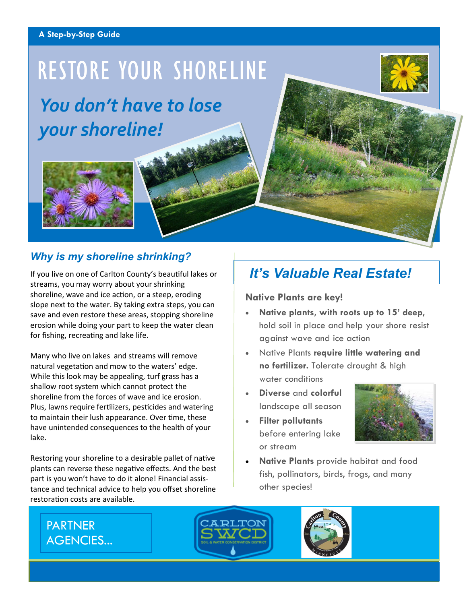#### **A Step-by-Step Guide**

# RESTORE YOUR SHORELINE



*You don't have to lose your shoreline!*



### *Why is my shoreline shrinking?*

If you live on one of Carlton County's beautiful lakes or streams, you may worry about your shrinking shoreline, wave and ice action, or a steep, eroding slope next to the water. By taking extra steps, you can save and even restore these areas, stopping shoreline erosion while doing your part to keep the water clean for fishing, recreating and lake life.

Many who live on lakes and streams will remove natural vegetation and mow to the waters' edge. While this look may be appealing, turf grass has a shallow root system which cannot protect the shoreline from the forces of wave and ice erosion. Plus, lawns require fertilizers, pesticides and watering to maintain their lush appearance. Over time, these have unintended consequences to the health of your lake.

Restoring your shoreline to a desirable pallet of native plants can reverse these negative effects. And the best part is you won't have to do it alone! Financial assistance and technical advice to help you offset shoreline restoration costs are available.

## *It's Valuable Real Estate!*

#### **Native Plants are key!**

- **Native plants, with roots up to 15' deep,**  hold soil in place and help your shore resist against wave and ice action
- Native Plants **require little watering and no fertilizer.** Tolerate drought & high water conditions
- **Diverse** and **colorful** landscape all season
- **Filter pollutants**  before entering lake or stream



• **Native Plants** provide habitat and food fish, pollinators, birds, frogs, and many other species!